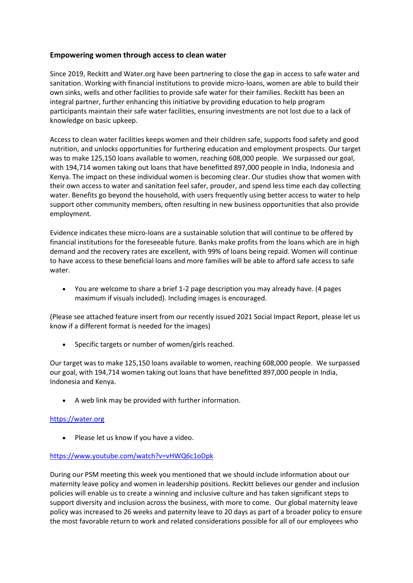## **Empowering women through access to clean water**

Since 2019, Reckitt and Water.org have been partnering to close the gap in access to safe water and sanitation. Working with financial institutions to provide micro-loans, women are able to build their own sinks, wells and other facilities to provide safe water for their families. Reckitt has been an integral partner, further enhancing this initiative by providing education to help program participants maintain their safe water facilities, ensuring investments are not lost due to a lack of knowledge on basic upkeep.

Access to clean water facilities keeps women and their children safe, supports food safety and good nutrition, and unlocks opportunities for furthering education and employment prospects. Our target was to make 125,150 loans available to women, reaching 608,000 people. We surpassed our goal, with 194,714 women taking out loans that have benefitted 897,000 people in India, Indonesia and Kenya. The impact on these individual women is becoming clear. Our studies show that women with their own access to water and sanitation feel safer, prouder, and spend less time each day collecting water. Benefits go beyond the household, with users frequently using better access to water to help support other community members, often resulting in new business opportunities that also provide employment.

Evidence indicates these micro-loans are a sustainable solution that will continue to be offered by financial institutions for the foreseeable future. Banks make profits from the loans which are in high demand and the recovery rates are excellent, with 99% of loans being repaid. Women will continue to have access to these beneficial loans and more families will be able to afford safe access to safe water.

• You are welcome to share a brief 1-2 page description you may already have. (4 pages maximum if visuals included). Including images is encouraged.

(Please see attached feature insert from our recently issued 2021 Social Impact Report, please let us know if a different format is needed for the images)

• Specific targets or number of women/girls reached.

Our target was to make 125,150 loans available to women, reaching 608,000 people. We surpassed our goal, with 194,714 women taking out loans that have benefitted 897,000 people in India, Indonesia and Kenya.

• A web link may be provided with further information.

## [https://water.org](https://water.org/)

• Please let us know if you have a video.

## <https://www.youtube.com/watch?v=vHWQ6c1oDpk>

During our PSM meeting this week you mentioned that we should include information about our maternity leave policy and women in leadership positions. Reckitt believes our gender and inclusion policies will enable us to create a winning and inclusive culture and has taken significant steps to support diversity and inclusion across the business, with more to come. Our global maternity leave policy was increased to 26 weeks and paternity leave to 20 days as part of a broader policy to ensure the most favorable return to work and related considerations possible for all of our employees who